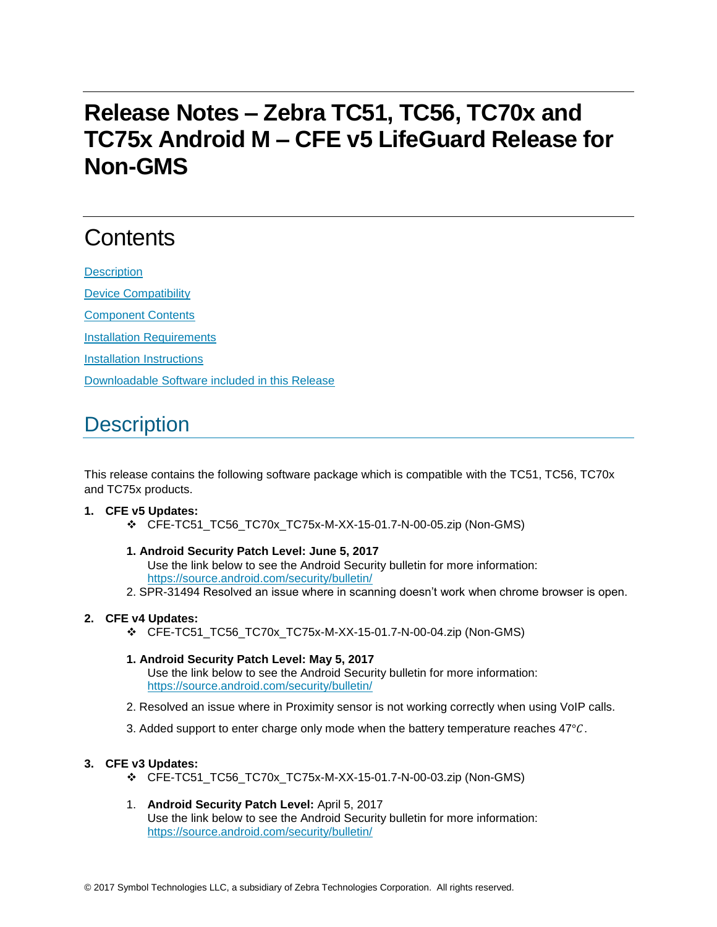# **Release Notes – Zebra TC51, TC56, TC70x and TC75x Android M – CFE v5 LifeGuard Release for Non-GMS**

# **Contents**

**[Description](#page-0-0)** [Device Compatibility](#page-1-0) [Component Contents](#page-1-1) [Installation Requirements](#page-2-0) [Installation Instructions](#page-2-1)

[Downloadable Software included in this Release](#page-3-0)

# <span id="page-0-0"></span>**Description**

This release contains the following software package which is compatible with the TC51, TC56, TC70x and TC75x products.

#### **1. CFE v5 Updates:**

- CFE-TC51\_TC56\_TC70x\_TC75x-M-XX-15-01.7-N-00-05.zip (Non-GMS)
- **1. Android Security Patch Level: June 5, 2017** Use the link below to see the Android Security bulletin for more information: <https://source.android.com/security/bulletin/>
- 2. SPR-31494 Resolved an issue where in scanning doesn't work when chrome browser is open.

#### **2. CFE v4 Updates:**

- CFE-TC51\_TC56\_TC70x\_TC75x-M-XX-15-01.7-N-00-04.zip (Non-GMS)
- **1. Android Security Patch Level: May 5, 2017** Use the link below to see the Android Security bulletin for more information: <https://source.android.com/security/bulletin/>
- 2. Resolved an issue where in Proximity sensor is not working correctly when using VoIP calls.
- 3. Added support to enter charge only mode when the battery temperature reaches  $47^{\circ}$ C.

#### **3. CFE v3 Updates:**

- CFE-TC51\_TC56\_TC70x\_TC75x-M-XX-15-01.7-N-00-03.zip (Non-GMS)
- 1. **Android Security Patch Level:** April 5, 2017 Use the link below to see the Android Security bulletin for more information: <https://source.android.com/security/bulletin/>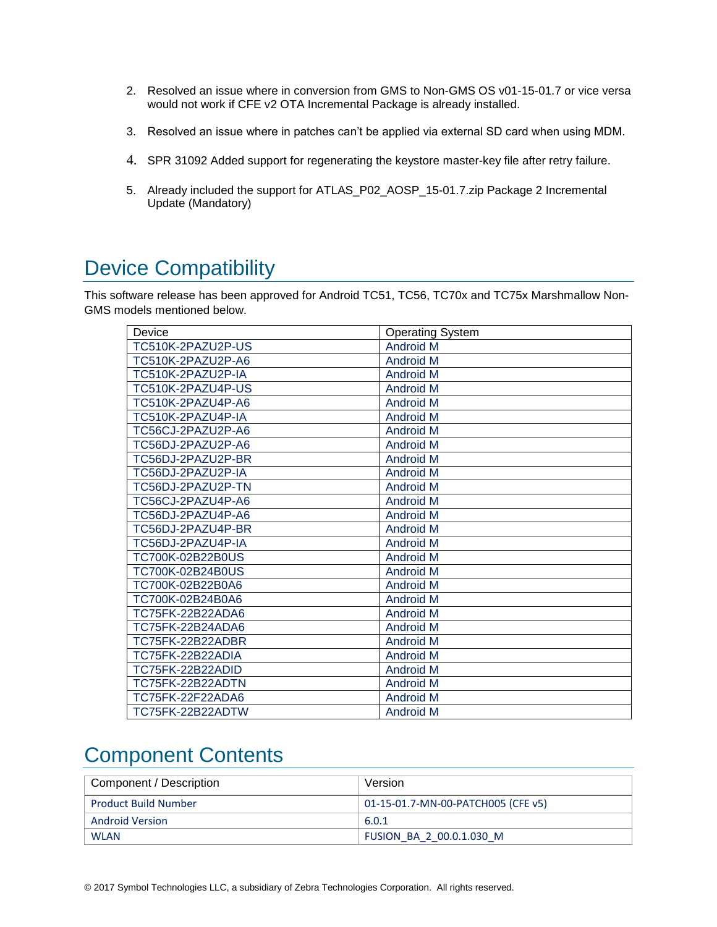- 2. Resolved an issue where in conversion from GMS to Non-GMS OS v01-15-01.7 or vice versa would not work if CFE v2 OTA Incremental Package is already installed.
- 3. Resolved an issue where in patches can't be applied via external SD card when using MDM.
- 4. SPR 31092 Added support for regenerating the keystore master-key file after retry failure.
- 5. Already included the support for ATLAS\_P02\_AOSP\_15-01.7.zip Package 2 Incremental Update (Mandatory)

## <span id="page-1-0"></span>Device Compatibility

This software release has been approved for Android TC51, TC56, TC70x and TC75x Marshmallow Non-GMS models mentioned below.

| Device            | <b>Operating System</b> |
|-------------------|-------------------------|
| TC510K-2PAZU2P-US | <b>Android M</b>        |
| TC510K-2PAZU2P-A6 | <b>Android M</b>        |
| TC510K-2PAZU2P-IA | <b>Android M</b>        |
| TC510K-2PAZU4P-US | <b>Android M</b>        |
| TC510K-2PAZU4P-A6 | <b>Android M</b>        |
| TC510K-2PAZU4P-IA | <b>Android M</b>        |
| TC56CJ-2PAZU2P-A6 | <b>Android M</b>        |
| TC56DJ-2PAZU2P-A6 | <b>Android M</b>        |
| TC56DJ-2PAZU2P-BR | <b>Android M</b>        |
| TC56DJ-2PAZU2P-IA | <b>Android M</b>        |
| TC56DJ-2PAZU2P-TN | <b>Android M</b>        |
| TC56CJ-2PAZU4P-A6 | <b>Android M</b>        |
| TC56DJ-2PAZU4P-A6 | <b>Android M</b>        |
| TC56DJ-2PAZU4P-BR | <b>Android M</b>        |
| TC56DJ-2PAZU4P-IA | <b>Android M</b>        |
| TC700K-02B22B0US  | <b>Android M</b>        |
| TC700K-02B24B0US  | <b>Android M</b>        |
| TC700K-02B22B0A6  | <b>Android M</b>        |
| TC700K-02B24B0A6  | <b>Android M</b>        |
| TC75FK-22B22ADA6  | <b>Android M</b>        |
| TC75FK-22B24ADA6  | <b>Android M</b>        |
| TC75FK-22B22ADBR  | Android M               |
| TC75FK-22B22ADIA  | <b>Android M</b>        |
| TC75FK-22B22ADID  | <b>Android M</b>        |
| TC75FK-22B22ADTN  | <b>Android M</b>        |
| TC75FK-22F22ADA6  | <b>Android M</b>        |
| TC75FK-22B22ADTW  | <b>Android M</b>        |

### <span id="page-1-1"></span>Component Contents

| Component / Description     | Version                            |
|-----------------------------|------------------------------------|
| <b>Product Build Number</b> | 01-15-01.7-MN-00-PATCH005 (CFE v5) |
| <b>Android Version</b>      | 6.0.1                              |
| <b>WLAN</b>                 | FUSION BA 2 00.0.1.030 M           |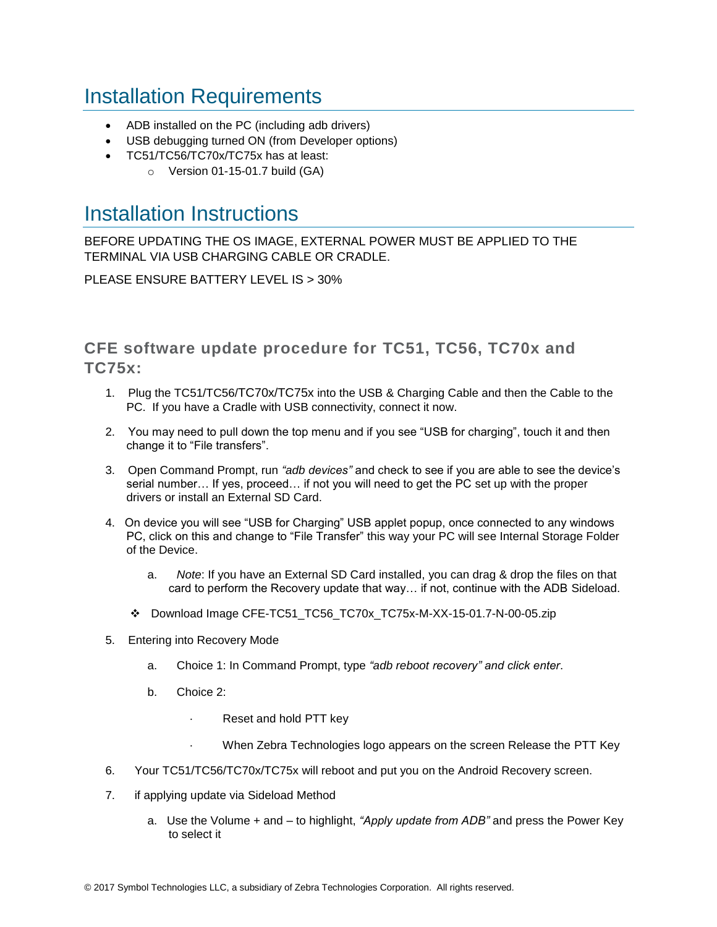## <span id="page-2-0"></span>Installation Requirements

- ADB installed on the PC (including adb drivers)
- USB debugging turned ON (from Developer options)
- TC51/TC56/TC70x/TC75x has at least:
	- $\circ$  Version 01-15-01.7 build (GA)

### <span id="page-2-1"></span>Installation Instructions

BEFORE UPDATING THE OS IMAGE, EXTERNAL POWER MUST BE APPLIED TO THE TERMINAL VIA USB CHARGING CABLE OR CRADLE.

PLEASE ENSURE BATTERY LEVEL IS > 30%

CFE software update procedure for TC51, TC56, TC70x and TC75x:

- 1. Plug the TC51/TC56/TC70x/TC75x into the USB & Charging Cable and then the Cable to the PC. If you have a Cradle with USB connectivity, connect it now.
- 2. You may need to pull down the top menu and if you see "USB for charging", touch it and then change it to "File transfers".
- 3. Open Command Prompt, run *"adb devices"* and check to see if you are able to see the device's serial number… If yes, proceed… if not you will need to get the PC set up with the proper drivers or install an External SD Card.
- 4. On device you will see "USB for Charging" USB applet popup, once connected to any windows PC, click on this and change to "File Transfer" this way your PC will see Internal Storage Folder of the Device.
	- a. *Note*: If you have an External SD Card installed, you can drag & drop the files on that card to perform the Recovery update that way… if not, continue with the ADB Sideload.
	- Download Image CFE-TC51\_TC56\_TC70x\_TC75x-M-XX-15-01.7-N-00-05.zip
- 5. Entering into Recovery Mode
	- a. Choice 1: In Command Prompt, type *"adb reboot recovery" and click enter*.
	- b. Choice 2:
		- Reset and hold PTT key
		- · When Zebra Technologies logo appears on the screen Release the PTT Key
- 6. Your TC51/TC56/TC70x/TC75x will reboot and put you on the Android Recovery screen.
- 7. if applying update via Sideload Method
	- a. Use the Volume + and to highlight, *"Apply update from ADB"* and press the Power Key to select it